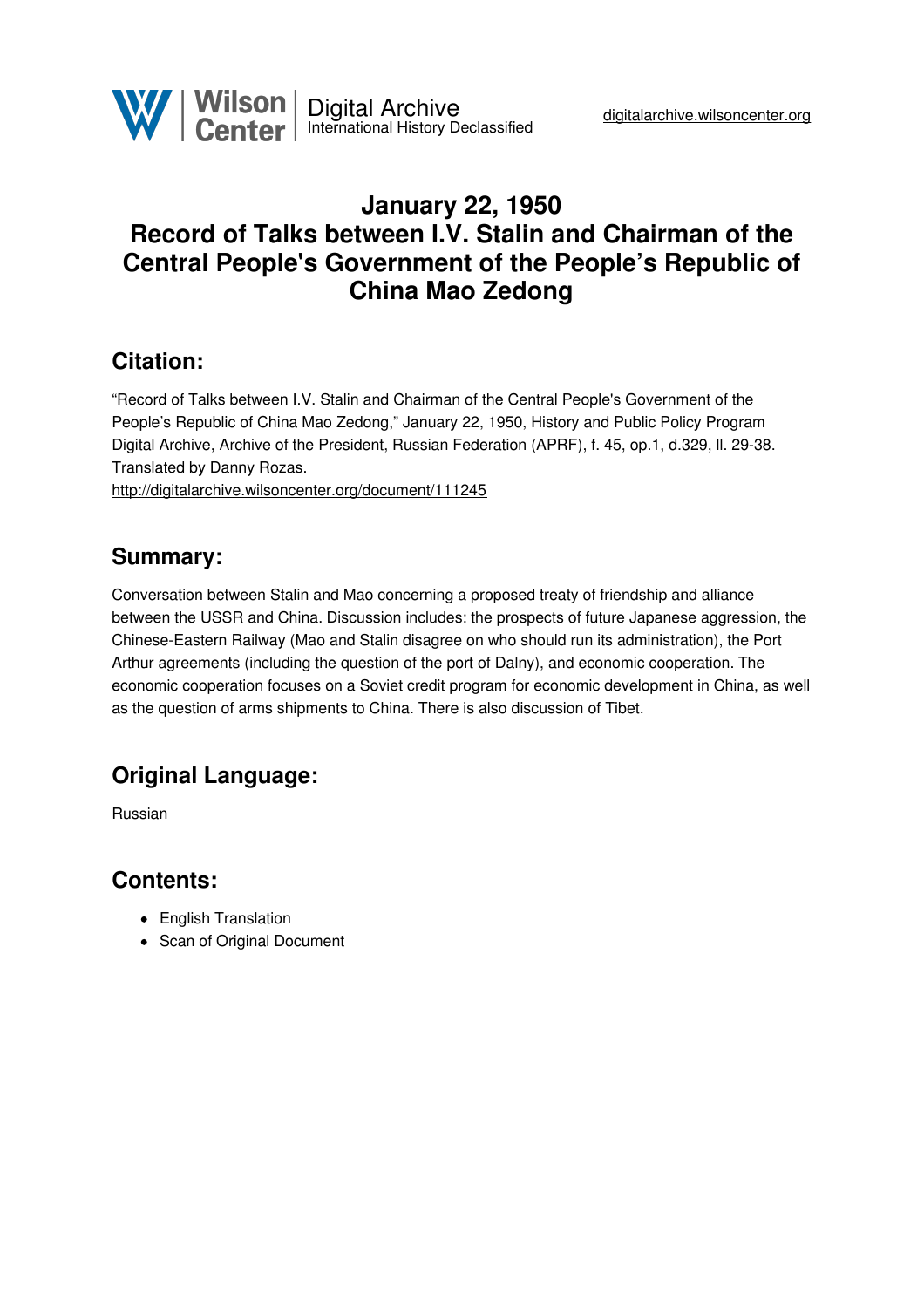

# **January 22, 1950 Record of Talks between I.V. Stalin and Chairman of the Central People's Government of the People's Republic of China Mao Zedong**

## **Citation:**

"Record of Talks between I.V. Stalin and Chairman of the Central People's Government of the People's Republic of China Mao Zedong," January 22, 1950, History and Public Policy Program Digital Archive, Archive of the President, Russian Federation (APRF), f. 45, op.1, d.329, ll. 29-38. Translated by Danny Rozas.

<http://digitalarchive.wilsoncenter.org/document/111245>

### **Summary:**

Conversation between Stalin and Mao concerning a proposed treaty of friendship and alliance between the USSR and China. Discussion includes: the prospects of future Japanese aggression, the Chinese-Eastern Railway (Mao and Stalin disagree on who should run its administration), the Port Arthur agreements (including the question of the port of Dalny), and economic cooperation. The economic cooperation focuses on a Soviet credit program for economic development in China, as well as the question of arms shipments to China. There is also discussion of Tibet.

# **Original Language:**

Russian

### **Contents:**

- English Translation
- Scan of Original Document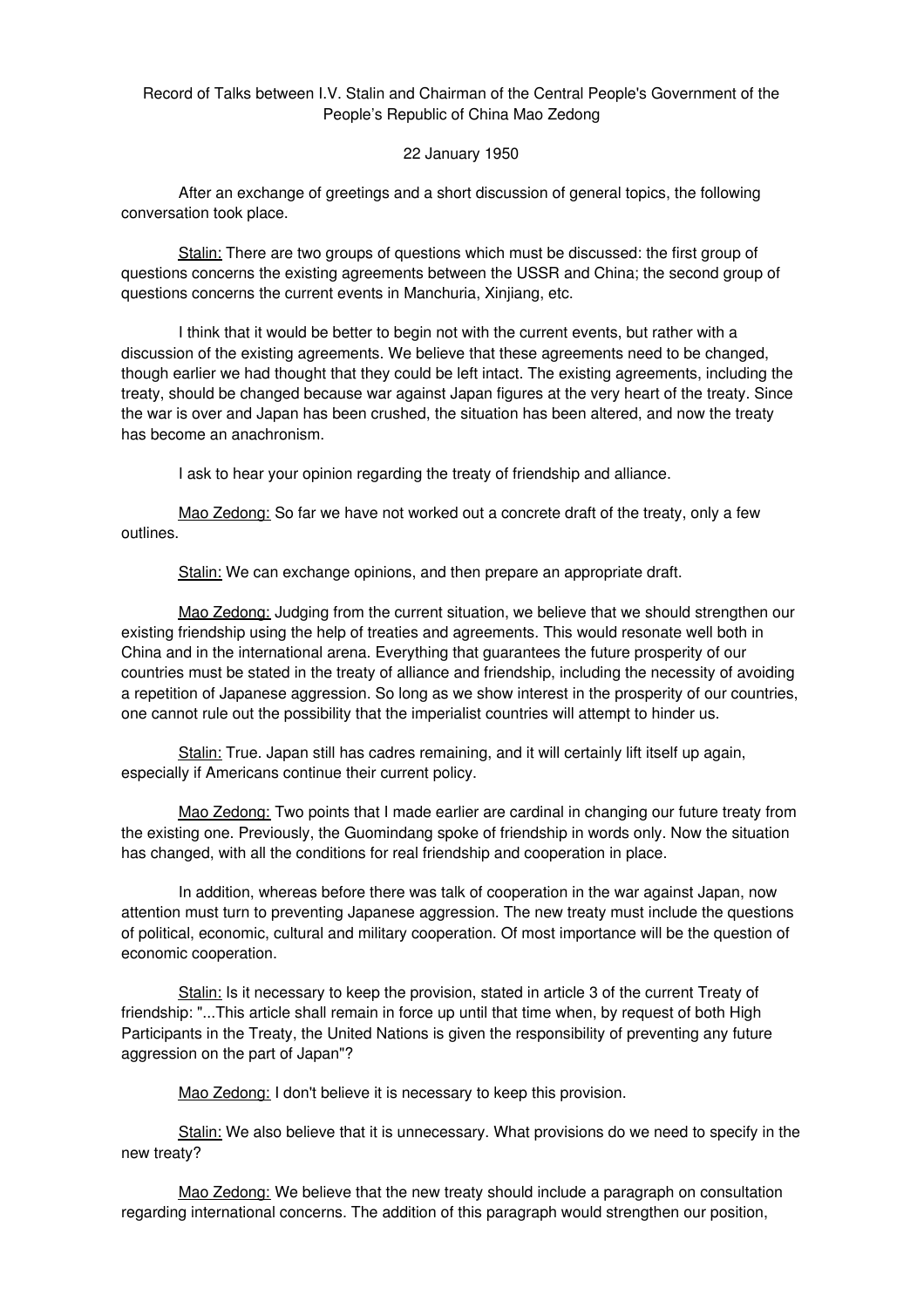Record of Talks between I.V. Stalin and Chairman of the Central People's Government of the People's Republic of China Mao Zedong

### 22 January 1950

After an exchange of greetings and a short discussion of general topics, the following conversation took place.

Stalin: There are two groups of questions which must be discussed: the first group of questions concerns the existing agreements between the USSR and China; the second group of questions concerns the current events in Manchuria, Xinjiang, etc.

I think that it would be better to begin not with the current events, but rather with a discussion of the existing agreements. We believe that these agreements need to be changed, though earlier we had thought that they could be left intact. The existing agreements, including the treaty, should be changed because war against Japan figures at the very heart of the treaty. Since the war is over and Japan has been crushed, the situation has been altered, and now the treaty has become an anachronism.

I ask to hear your opinion regarding the treaty of friendship and alliance.

Mao Zedong: So far we have not worked out a concrete draft of the treaty, only a few outlines.

Stalin: We can exchange opinions, and then prepare an appropriate draft.

Mao Zedong: Judging from the current situation, we believe that we should strengthen our existing friendship using the help of treaties and agreements. This would resonate well both in China and in the international arena. Everything that guarantees the future prosperity of our countries must be stated in the treaty of alliance and friendship, including the necessity of avoiding a repetition of Japanese aggression. So long as we show interest in the prosperity of our countries, one cannot rule out the possibility that the imperialist countries will attempt to hinder us.

Stalin: True. Japan still has cadres remaining, and it will certainly lift itself up again, especially if Americans continue their current policy.

Mao Zedong: Two points that I made earlier are cardinal in changing our future treaty from the existing one. Previously, the Guomindang spoke of friendship in words only. Now the situation has changed, with all the conditions for real friendship and cooperation in place.

In addition, whereas before there was talk of cooperation in the war against Japan, now attention must turn to preventing Japanese aggression. The new treaty must include the questions of political, economic, cultural and military cooperation. Of most importance will be the question of economic cooperation.

Stalin: Is it necessary to keep the provision, stated in article 3 of the current Treaty of friendship: "...This article shall remain in force up until that time when, by request of both High Participants in the Treaty, the United Nations is given the responsibility of preventing any future aggression on the part of Japan"?

Mao Zedong: I don't believe it is necessary to keep this provision.

Stalin: We also believe that it is unnecessary. What provisions do we need to specify in the new treaty?

Mao Zedong: We believe that the new treaty should include a paragraph on consultation regarding international concerns. The addition of this paragraph would strengthen our position,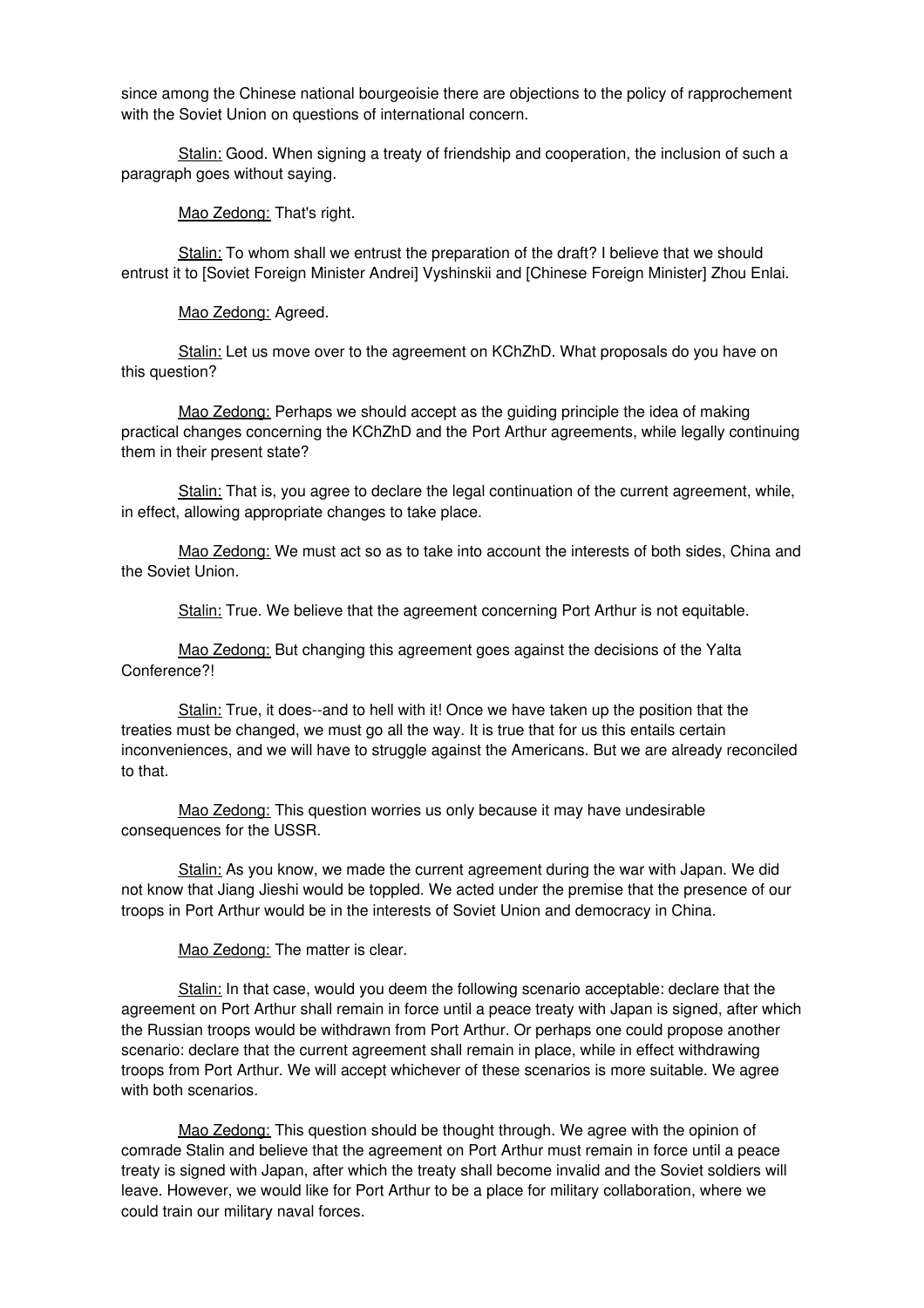since among the Chinese national bourgeoisie there are objections to the policy of rapprochement with the Soviet Union on questions of international concern.

Stalin: Good. When signing a treaty of friendship and cooperation, the inclusion of such a paragraph goes without saying.

Mao Zedong: That's right.

Stalin: To whom shall we entrust the preparation of the draft? I believe that we should entrust it to [Soviet Foreign Minister Andrei] Vyshinskii and [Chinese Foreign Minister] Zhou Enlai.

Mao Zedong: Agreed.

Stalin: Let us move over to the agreement on KChZhD. What proposals do you have on this question?

Mao Zedong: Perhaps we should accept as the guiding principle the idea of making practical changes concerning the KChZhD and the Port Arthur agreements, while legally continuing them in their present state?

Stalin: That is, you agree to declare the legal continuation of the current agreement, while, in effect, allowing appropriate changes to take place.

Mao Zedong: We must act so as to take into account the interests of both sides, China and the Soviet Union.

Stalin: True. We believe that the agreement concerning Port Arthur is not equitable.

Mao Zedong: But changing this agreement goes against the decisions of the Yalta Conference?!

Stalin: True, it does--and to hell with it! Once we have taken up the position that the treaties must be changed, we must go all the way. It is true that for us this entails certain inconveniences, and we will have to struggle against the Americans. But we are already reconciled to that.

Mao Zedong: This question worries us only because it may have undesirable consequences for the USSR.

Stalin: As you know, we made the current agreement during the war with Japan. We did not know that Jiang Jieshi would be toppled. We acted under the premise that the presence of our troops in Port Arthur would be in the interests of Soviet Union and democracy in China.

Mao Zedong: The matter is clear.

Stalin: In that case, would you deem the following scenario acceptable: declare that the agreement on Port Arthur shall remain in force until a peace treaty with Japan is signed, after which the Russian troops would be withdrawn from Port Arthur. Or perhaps one could propose another scenario: declare that the current agreement shall remain in place, while in effect withdrawing troops from Port Arthur. We will accept whichever of these scenarios is more suitable. We agree with both scenarios.

Mao Zedong: This question should be thought through. We agree with the opinion of comrade Stalin and believe that the agreement on Port Arthur must remain in force until a peace treaty is signed with Japan, after which the treaty shall become invalid and the Soviet soldiers will leave. However, we would like for Port Arthur to be a place for military collaboration, where we could train our military naval forces.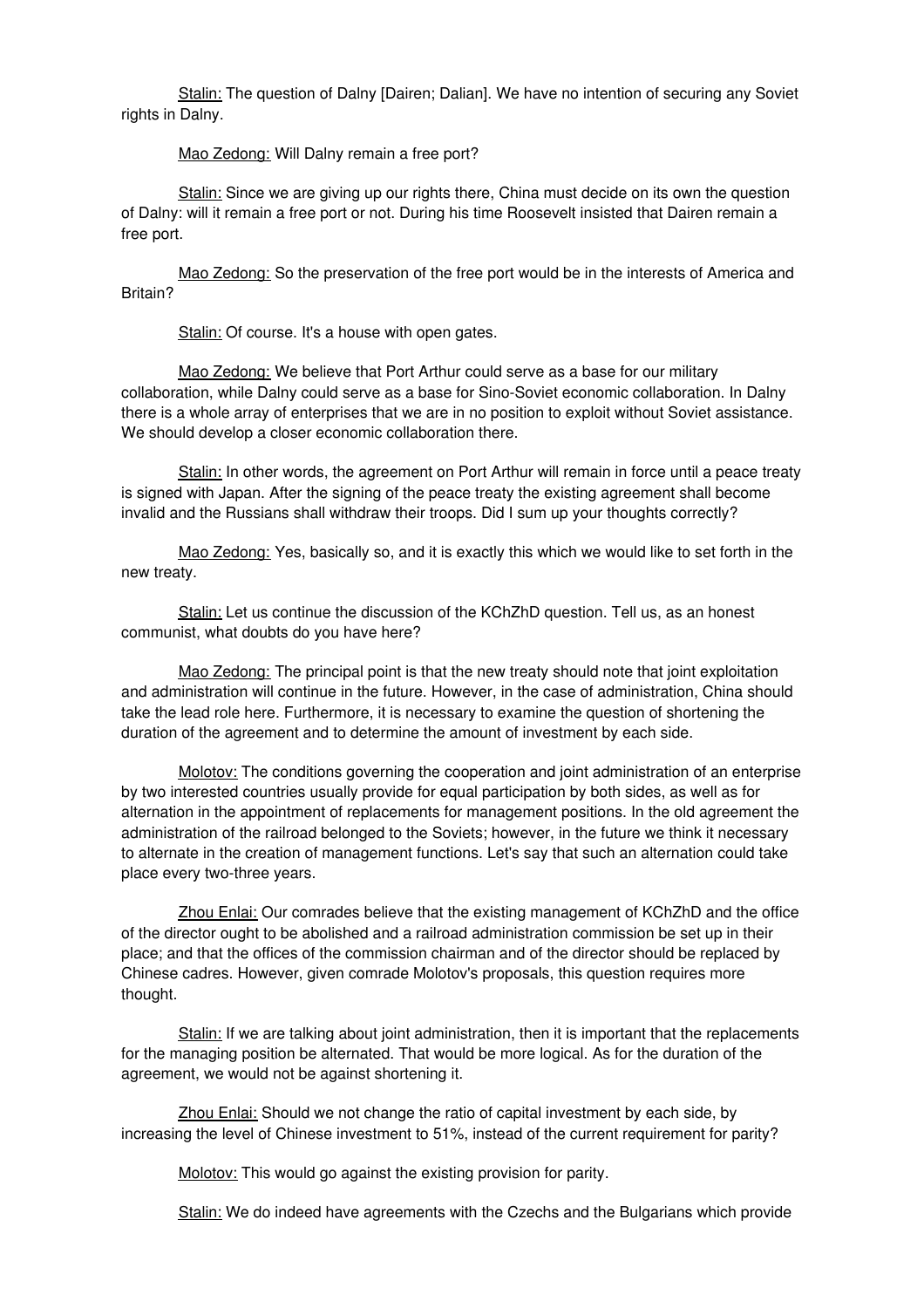Stalin: The question of Dalny [Dairen; Dalian]. We have no intention of securing any Soviet rights in Dalny.

#### Mao Zedong: Will Dalny remain a free port?

Stalin: Since we are giving up our rights there, China must decide on its own the question of Dalny: will it remain a free port or not. During his time Roosevelt insisted that Dairen remain a free port.

Mao Zedong: So the preservation of the free port would be in the interests of America and Britain?

Stalin: Of course. It's a house with open gates.

Mao Zedong: We believe that Port Arthur could serve as a base for our military collaboration, while Dalny could serve as a base for Sino-Soviet economic collaboration. In Dalny there is a whole array of enterprises that we are in no position to exploit without Soviet assistance. We should develop a closer economic collaboration there.

Stalin: In other words, the agreement on Port Arthur will remain in force until a peace treaty is signed with Japan. After the signing of the peace treaty the existing agreement shall become invalid and the Russians shall withdraw their troops. Did I sum up your thoughts correctly?

Mao Zedong: Yes, basically so, and it is exactly this which we would like to set forth in the new treaty.

Stalin: Let us continue the discussion of the KChZhD question. Tell us, as an honest communist, what doubts do you have here?

Mao Zedong: The principal point is that the new treaty should note that joint exploitation and administration will continue in the future. However, in the case of administration, China should take the lead role here. Furthermore, it is necessary to examine the question of shortening the duration of the agreement and to determine the amount of investment by each side.

Molotov: The conditions governing the cooperation and joint administration of an enterprise by two interested countries usually provide for equal participation by both sides, as well as for alternation in the appointment of replacements for management positions. In the old agreement the administration of the railroad belonged to the Soviets; however, in the future we think it necessary to alternate in the creation of management functions. Let's say that such an alternation could take place every two-three years.

Zhou Enlai: Our comrades believe that the existing management of KChZhD and the office of the director ought to be abolished and a railroad administration commission be set up in their place; and that the offices of the commission chairman and of the director should be replaced by Chinese cadres. However, given comrade Molotov's proposals, this question requires more thought.

Stalin: If we are talking about joint administration, then it is important that the replacements for the managing position be alternated. That would be more logical. As for the duration of the agreement, we would not be against shortening it.

Zhou Enlai: Should we not change the ratio of capital investment by each side, by increasing the level of Chinese investment to 51%, instead of the current requirement for parity?

Molotov: This would go against the existing provision for parity.

Stalin: We do indeed have agreements with the Czechs and the Bulgarians which provide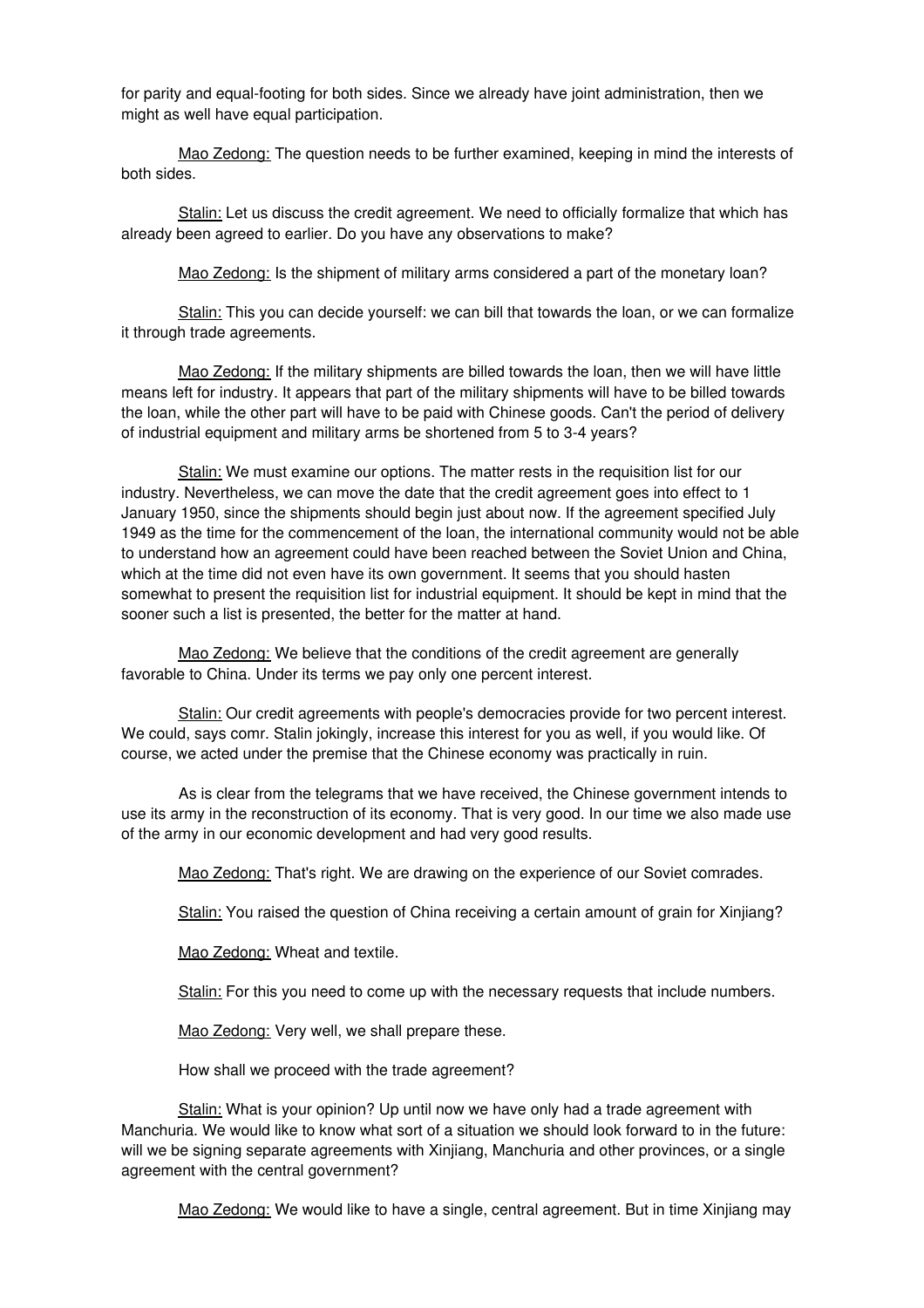for parity and equal-footing for both sides. Since we already have joint administration, then we might as well have equal participation.

Mao Zedong: The question needs to be further examined, keeping in mind the interests of both sides.

Stalin: Let us discuss the credit agreement. We need to officially formalize that which has already been agreed to earlier. Do you have any observations to make?

Mao Zedong: Is the shipment of military arms considered a part of the monetary loan?

Stalin: This you can decide yourself: we can bill that towards the loan, or we can formalize it through trade agreements.

Mao Zedong: If the military shipments are billed towards the loan, then we will have little means left for industry. It appears that part of the military shipments will have to be billed towards the loan, while the other part will have to be paid with Chinese goods. Can't the period of delivery of industrial equipment and military arms be shortened from 5 to 3-4 years?

Stalin: We must examine our options. The matter rests in the requisition list for our industry. Nevertheless, we can move the date that the credit agreement goes into effect to 1 January 1950, since the shipments should begin just about now. If the agreement specified July 1949 as the time for the commencement of the loan, the international community would not be able to understand how an agreement could have been reached between the Soviet Union and China, which at the time did not even have its own government. It seems that you should hasten somewhat to present the requisition list for industrial equipment. It should be kept in mind that the sooner such a list is presented, the better for the matter at hand.

Mao Zedong: We believe that the conditions of the credit agreement are generally favorable to China. Under its terms we pay only one percent interest.

Stalin: Our credit agreements with people's democracies provide for two percent interest. We could, says comr. Stalin jokingly, increase this interest for you as well, if you would like. Of course, we acted under the premise that the Chinese economy was practically in ruin.

As is clear from the telegrams that we have received, the Chinese government intends to use its army in the reconstruction of its economy. That is very good. In our time we also made use of the army in our economic development and had very good results.

Mao Zedong: That's right. We are drawing on the experience of our Soviet comrades.

Stalin: You raised the question of China receiving a certain amount of grain for Xinjiang?

Mao Zedong: Wheat and textile.

Stalin: For this you need to come up with the necessary requests that include numbers.

Mao Zedong: Very well, we shall prepare these.

How shall we proceed with the trade agreement?

Stalin: What is your opinion? Up until now we have only had a trade agreement with Manchuria. We would like to know what sort of a situation we should look forward to in the future: will we be signing separate agreements with Xinjiang, Manchuria and other provinces, or a single agreement with the central government?

Mao Zedong: We would like to have a single, central agreement. But in time Xinjiang may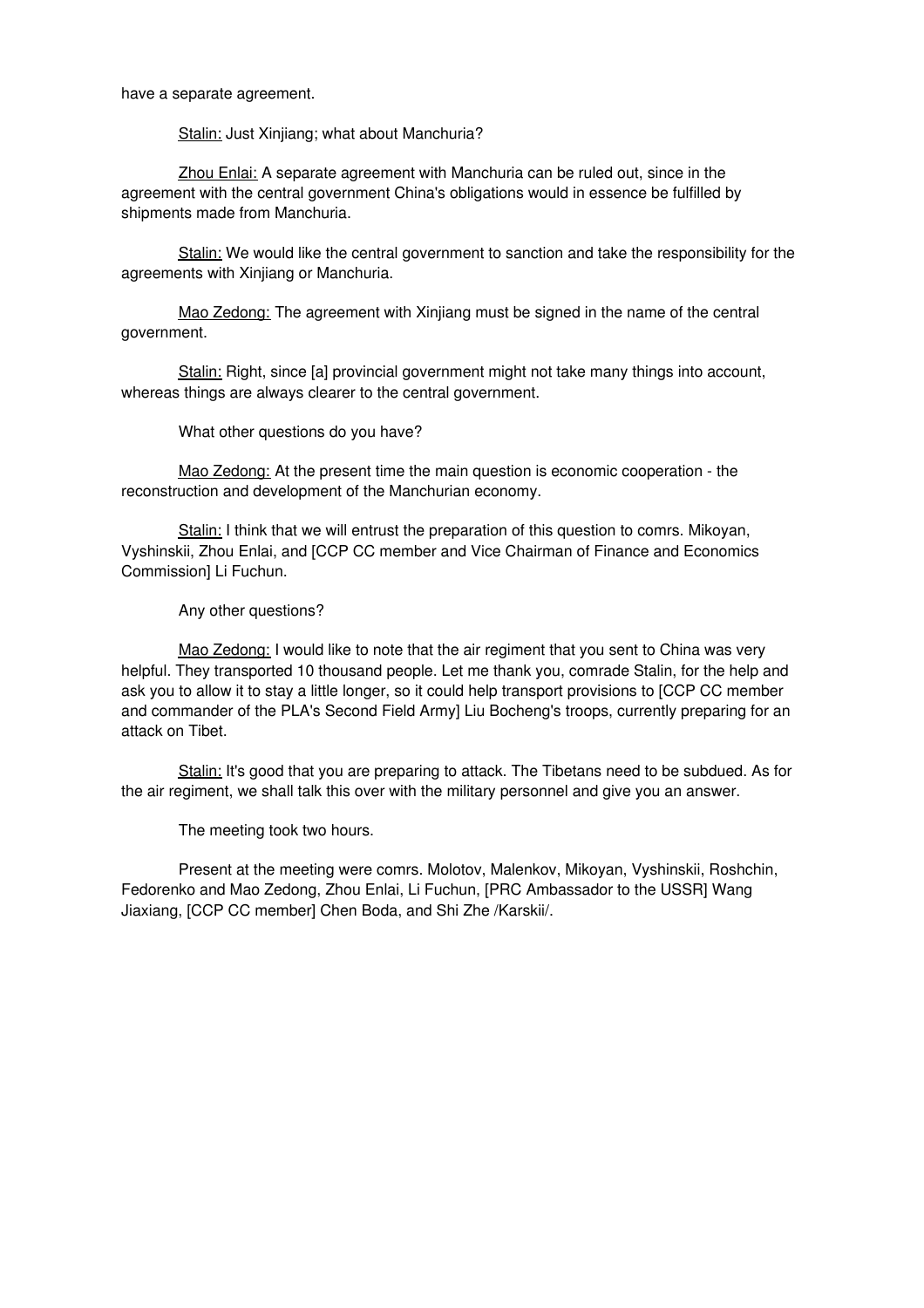have a separate agreement.

Stalin: Just Xinjiang; what about Manchuria?

**Zhou Enlai:** A separate agreement with Manchuria can be ruled out, since in the agreement with the central government China's obligations would in essence be fulfilled by shipments made from Manchuria.

Stalin: We would like the central government to sanction and take the responsibility for the agreements with Xinjiang or Manchuria.

Mao Zedong: The agreement with Xinjiang must be signed in the name of the central government.

Stalin: Right, since [a] provincial government might not take many things into account, whereas things are always clearer to the central government.

What other questions do you have?

Mao Zedong: At the present time the main question is economic cooperation - the reconstruction and development of the Manchurian economy.

Stalin: I think that we will entrust the preparation of this question to comrs. Mikoyan, Vyshinskii, Zhou Enlai, and [CCP CC member and Vice Chairman of Finance and Economics Commission] Li Fuchun.

Any other questions?

Mao Zedong: I would like to note that the air regiment that you sent to China was very helpful. They transported 10 thousand people. Let me thank you, comrade Stalin, for the help and ask you to allow it to stay a little longer, so it could help transport provisions to [CCP CC member and commander of the PLA's Second Field Army] Liu Bocheng's troops, currently preparing for an attack on Tibet.

Stalin: It's good that you are preparing to attack. The Tibetans need to be subdued. As for the air regiment, we shall talk this over with the military personnel and give you an answer.

The meeting took two hours.

Present at the meeting were comrs. Molotov, Malenkov, Mikoyan, Vyshinskii, Roshchin, Fedorenko and Mao Zedong, Zhou Enlai, Li Fuchun, [PRC Ambassador to the USSR] Wang Jiaxiang, [CCP CC member] Chen Boda, and Shi Zhe /Karskii/.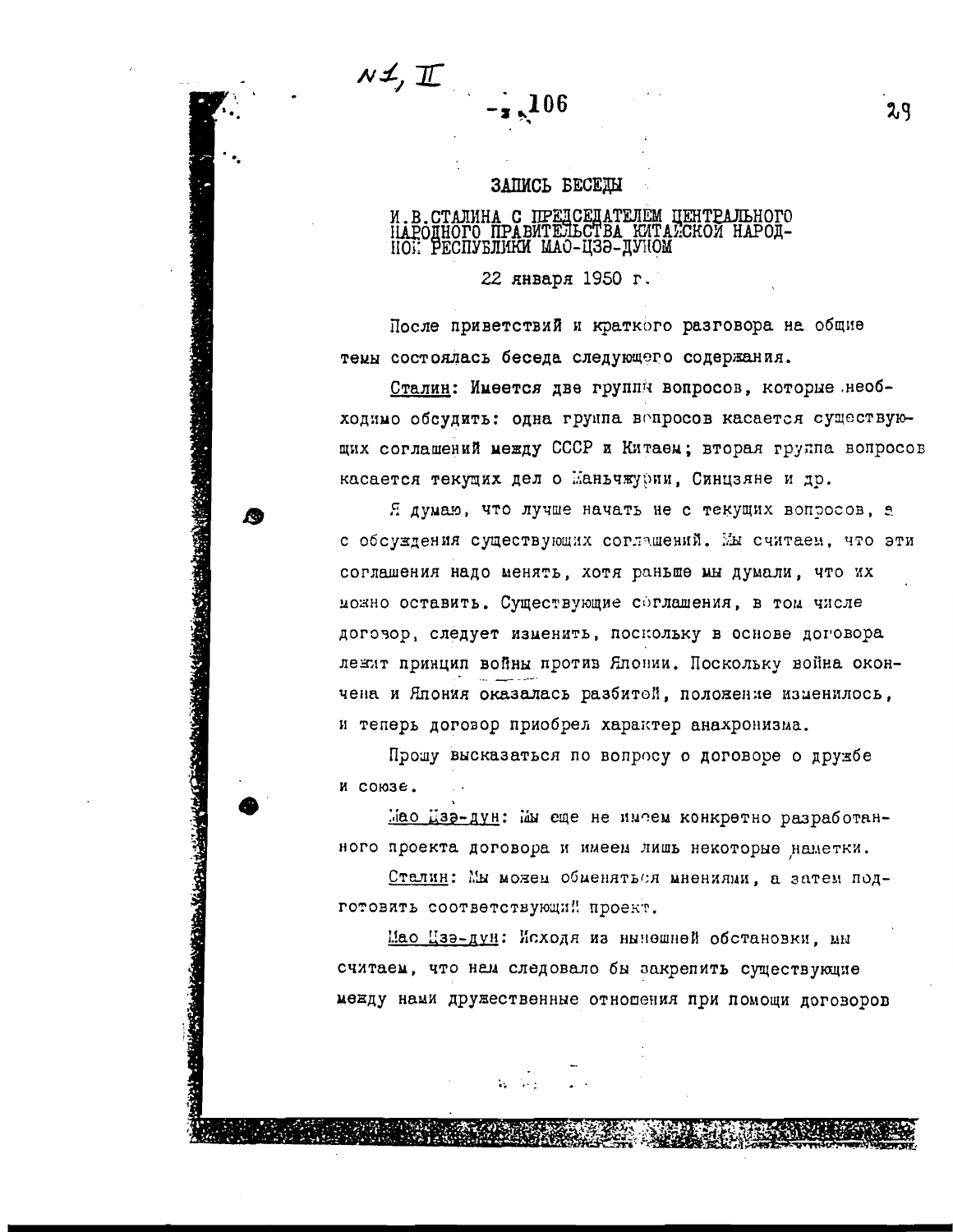$N$ 1,  $\mathbb{I}$ 

**ASSESSMENT AND ARRANGEMENT AND ARRANGEMENT AND ARRANGEMENT AND ARRANGEMENT AND ARRANGEMENT AND ARRANGEMENT AND** 

 $\cdot$   $\cdot$  106

#### ЗАПИСЬ БЕСЕДЫ

#### АТЕЛЕМ ЦЕНТРАЛЬНОГО<br>ВА КИТАЕСКОЙ НАРОД-C IIPEI ЛНОГО ПРАВИТЕЛЬСТВА КИТА<br>РЕСПУБЛИКИ МАО-ЦЗЭ-ДУНОМ

22 января 1950 г.

После приветствий и краткого разговора на общие темы состоялась беседа следующего содержания.

Сталин: Имеется две группи вопросов, которые необходимо обсудить: одна группа вопросов касается существующих соглашений между СССР и Китаем; вторая группа вопросов касается текущих дел о Маньчжурии, Синцзяне и др.

29

Я думаю, что лучше начать не с текущих вопросов, а с обсуждения существующих соглашений. Мы считаем, что эти соглашения надо менять, хотя раньше мы думали, что их можно оставить. Существующие соглашения, в том числе догозор, следует изменить, поскольку в основе договора лежит принцип войны против Японии. Поскольку война окончена и Япония оказалась разбитей, положение изменилось, и теперь договор приобрел характер анахронизма.

Прошу высказаться по вопросу о договоре о дружбе и союзе.

мао дзэ-дун: мы еще не имем конкретно разработанного проекта договора и имеем лишь некоторые наметки.

Сталин: Мы можем обменяться мнениями, а затем подготовить соответствующи !! проект.

Мао Цзэ-дун: Исходя из нынешней обстановки, мы считаем, что нам следовало бы закрепить существующие между нами дружественные отношения при помощи договоров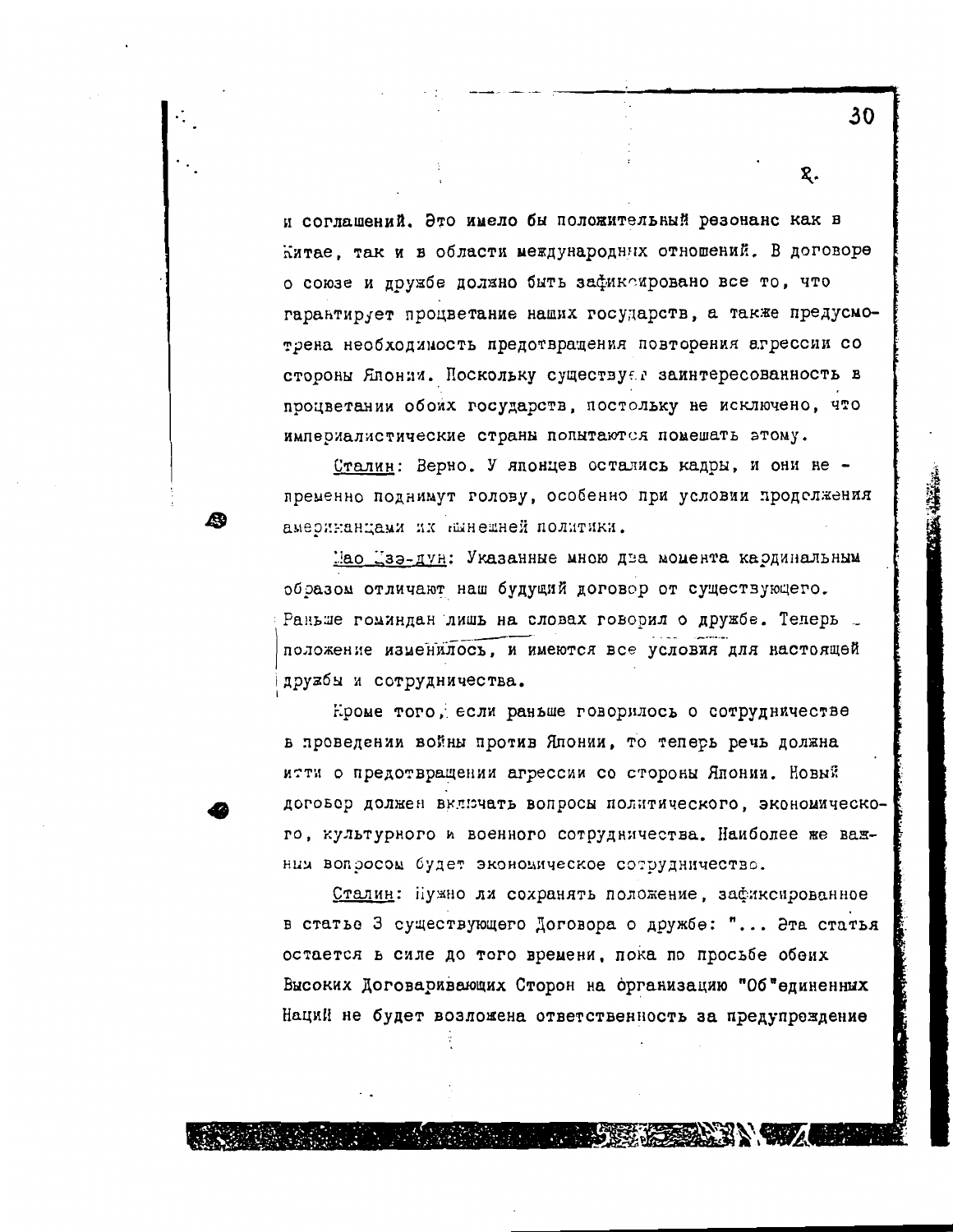и соглашений. Это имело бы положительный резонанс как в китае, так и в области международних отношений. В договоре о союзе и дружбе доляно быть зафикоировано все то, что гарантирует процветание наших государств, а также предусмотрена необходимость предотвращения повторения агрессии со стороны Японии. Поскольку существует заинтересованность в процветании обоих государств, постольку не исключено, что империалистические страны попытаются помешать этому.

Сталин: Верно. У японцев остались кадры, и они не пременно поднимут голову, особенно при условии продслжения американцами их вынешней политики.

ÆØ

Мао Цзэ-дун: Указанные мною два момента кардинальным образом отличают наш будущий договор от существующего. Раньше гоминдан лишь на словах говорил о дружбе. Теперь положение изменилось, и имеются все условия для настоящей дружбы и сотрудничества.

Кроме того, если раньше говорилось о сотрудничестве в проведении войны против Японии, то теперь речь должна итти о предотвращении агрессии со стороны Японии. Новый договор должен включать вопросы политического, экономического, культурного и военного сотрудничества. Наиболее же важним вопросом будет экономическое сотрудничество.

Сталин: Пужно ли сохранять положение, зафиксированное в статье 3 существующего Договора о дружбе: "... Эта статья остается в силе до того времени, пока по просьбе обеих Высоких Договаривающих Сторон на организацию "Об"единенных Наций не будет возложена ответственность за предупреждение

R.

30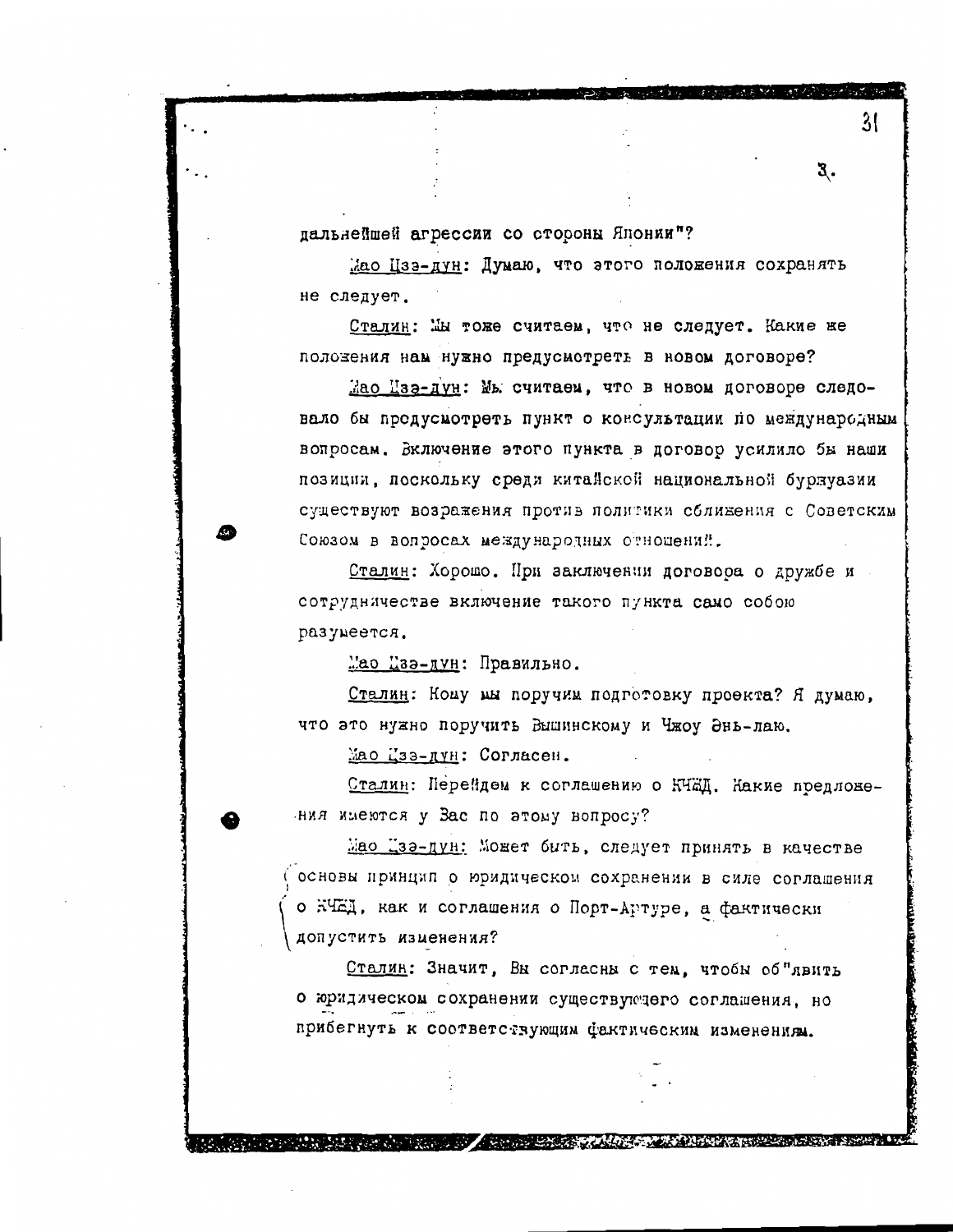дальнейшей агрессии со стороны Японии"?

Мао Цзэ-дун: Думаю, что этого положения сохранять не следует.

Сталин: Мы тоже считаем, что не следует. Какие же положения нам нужно предусмотреть в новом договоре?

Мао Цзэ-дун: Мы считаем, что в новом договоре следовало бы предусмотреть пункт о консультации по международным вопросам. Включение этого пункта в договор усилило бы наши позиции, поскольку среди китайской национальной буржуазии существуют возражения против политики сближения с Советским Союзом в вопросах международных отношений.

Сталин: Хорошо. При заключении договора о дружбе и сотрудничестве включение такого пункта само собою разумеется.

Мао Цзэ-дун: Правильно.

Сталин: Кому мы поручим подготовку проекта? Я думаю. что это нужно поручить Вышинскому и Чжоу Энь-лаю.

Мао Изэ-лун: Согласен.

Сталин: Перейдем к соглашению о КЧЖД. Какие предложения имеются у Вас по этому вопросу?

мао Цзэ-дун: Может бить, следует принять в качестве основы принцип о юридическом сохранении в силе соглашения о КЧЕД, как и соглашения о Порт-Артуре, а фактически допустить изменения?

Сталин: Значит, Вы согласны с тем, чтобы об"явить о юридическом сохранении существующего соглашения, но прибегнуть к соответствующим фактическим изменениям.

AND DESCRIPTION OF THE RESIDENCE OF A STRONG COMPANY AND THE RESIDENCE OF A REAL PROPERTY OF THE RELEASE OF THE RELEASE OF THE RELEASE OF THE RELEASE OF THE RELEASE OF THE RELEASE OF THE RELEASE OF THE RELEASE OF THE RELEA

 $31$ 

ვ.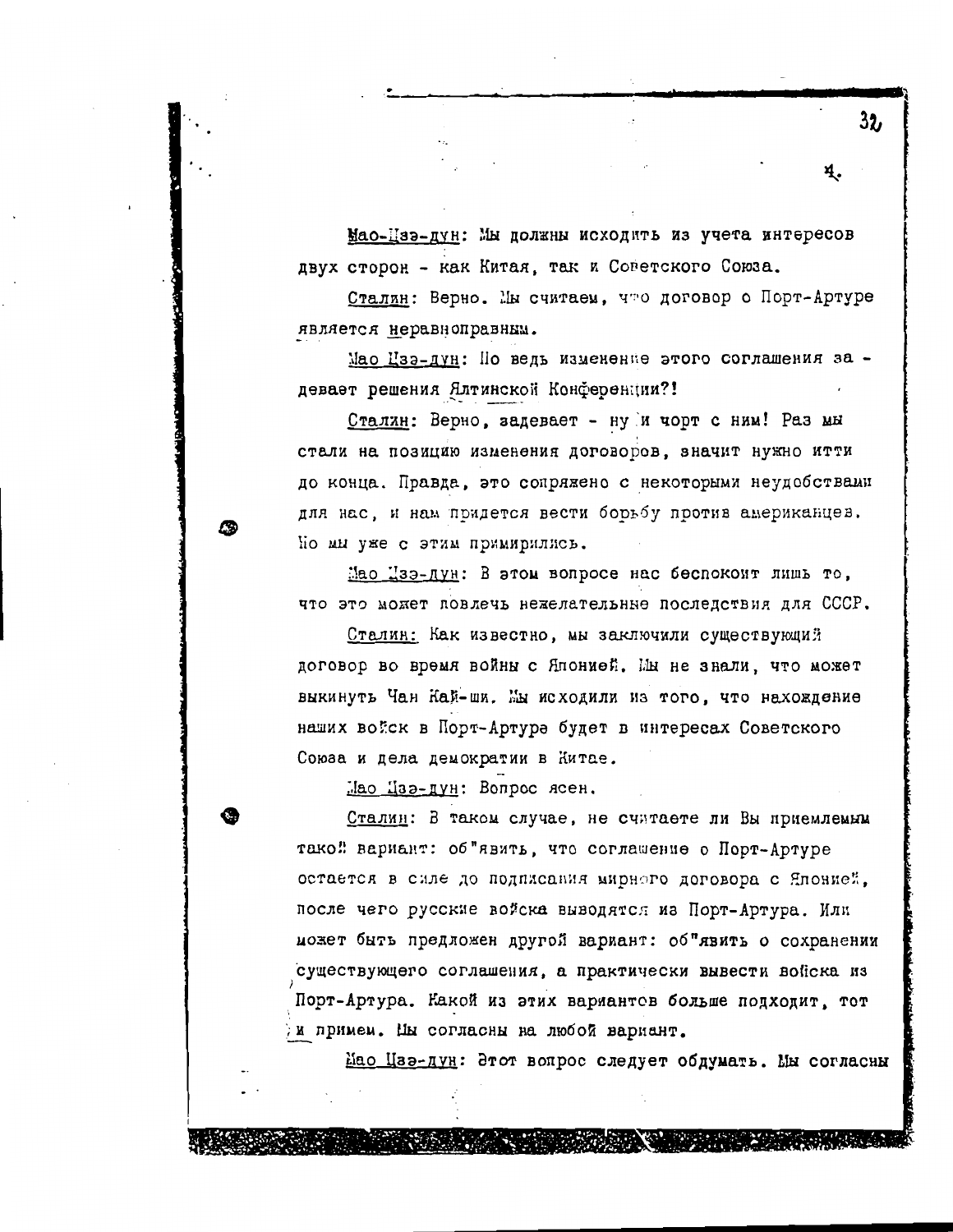Мао-Цзэ-дун: Мы должны исходить из учета интересов двух сторон - как Китая, так и Советского Союза.

Сталин: Верно. Мы считаем, что договор о Порт-Артуре является неравноправным.

Мао Цзэ-дун: По ведь изменение этого соглашения за девает решения Ялтинской Конференции?!

Сталин: Верно, задевает - ну и чорт с ним! Раз мы стали на позицию изменения договоров, значит нужно итти до конца. Правда, это сопряжено с некоторыми неудобствами для нас, и нам придется вести борьбу против американцев. Но мы уже с этим примирились.

Мао Цзэ-дун: В этом вопросе нас беспокоит лишь то, что это может повлечь нежелательные последствия для СССР.

Сталин: Как известно, мы заключили существующий договор во время войны с Японией. Мы не знали, что может выкинуть Чан Кай-ши. Мы исходили из того, что нахождение наших войск в Порт-Артуре будет в интересах Советского Союза и дела демократии в Китае.

Иао Цзэ-дун: Вопрос ясен.

Сталин: В таком случае, не считаете ли Вы приемлемым тако! вариант: об"явить, что соглашение о Порт-Артуре остается в силе до подписания мирного договора с Японией. после чего русские войска выводятся из Порт-Артура. Или иожет быть предложен другой вариант: об"явить о сохранении существующего соглашения, а практически вывести войска из Порт-Артура. Какой из этих вариантов больше подходит, тот и примем. Мы согласны на любой вариант.

Мао Цзэ-дун: Этот вопрос следует обдумать. Мы согласны

32,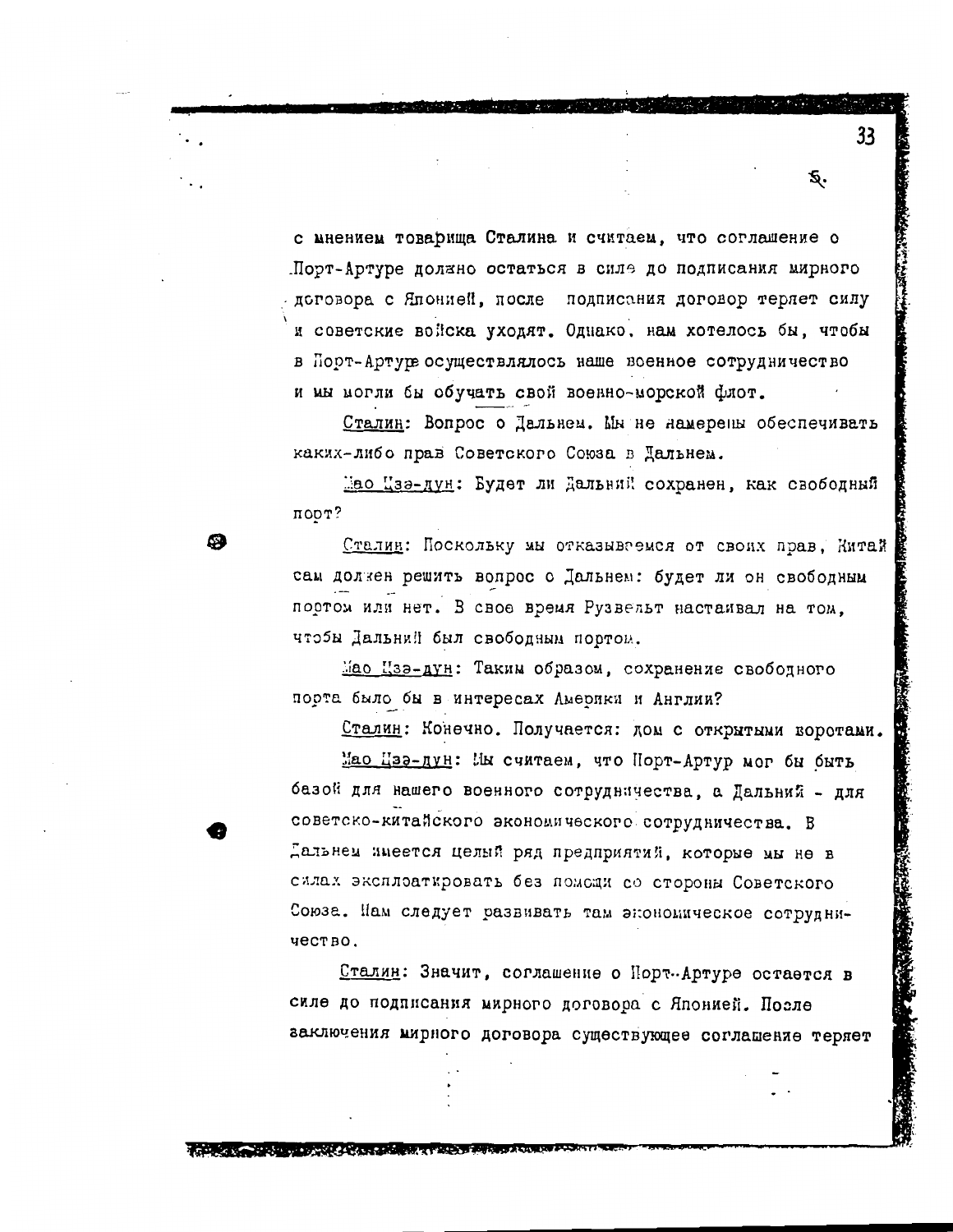с мнением товарища Сталина и считаем, что соглашение о Порт-Артуре должно остаться в силе до подписания мирного договора с Японией, после подписания договор теряет силу и советские войска уходят. Однако, нам хотелось бы, чтобы в Порт-Артуре осуществлялось наше военное сотрудничество и мы могли бы обучать свой военно-морской флот.

Сталин: Вопрос о Дальнем. Мы не намерены обеспечивать каких-либо прав Советского Союза в Дальнем.

Мао Цзэ-дун: Будет ли Дальний сохранен, как свободный nopr?

Сталин: Поскольку мы отказываемся от своих прав. Китай сам должен решить вопрос о Дальнем: будет ли он свободным портом или нет. В свое время Рузвельт настаивал на том, чтобы Дальний был свободным портом.

Мао Цзэ-дун: Таким образом, сохранение свободного порта было бы в интересах Америки и Англии?

49

To also as a send of the condition with

Сталин: Конечно. Получается: дом с открытыми воротами.

Мао Цзэ-дун: Им считаем, что Порт-Артур мог бы быть базой для нашего военного сотрудничества, а Дальний - для советско-китайского экономического сотрудничества. В Дальнем имеется целый ряд предприятий, которые мы не в силах эксплоатировать без помощи со стороны Советского Союза. Нам следует развивать там энономическое сотрудничество.

Сталин: Значит, соглашение о Порт-Артуре остается в силе до подписания мирного договора с Японией. После заключения мирного договора существующее соглашение теряет

 $33$ 

হ.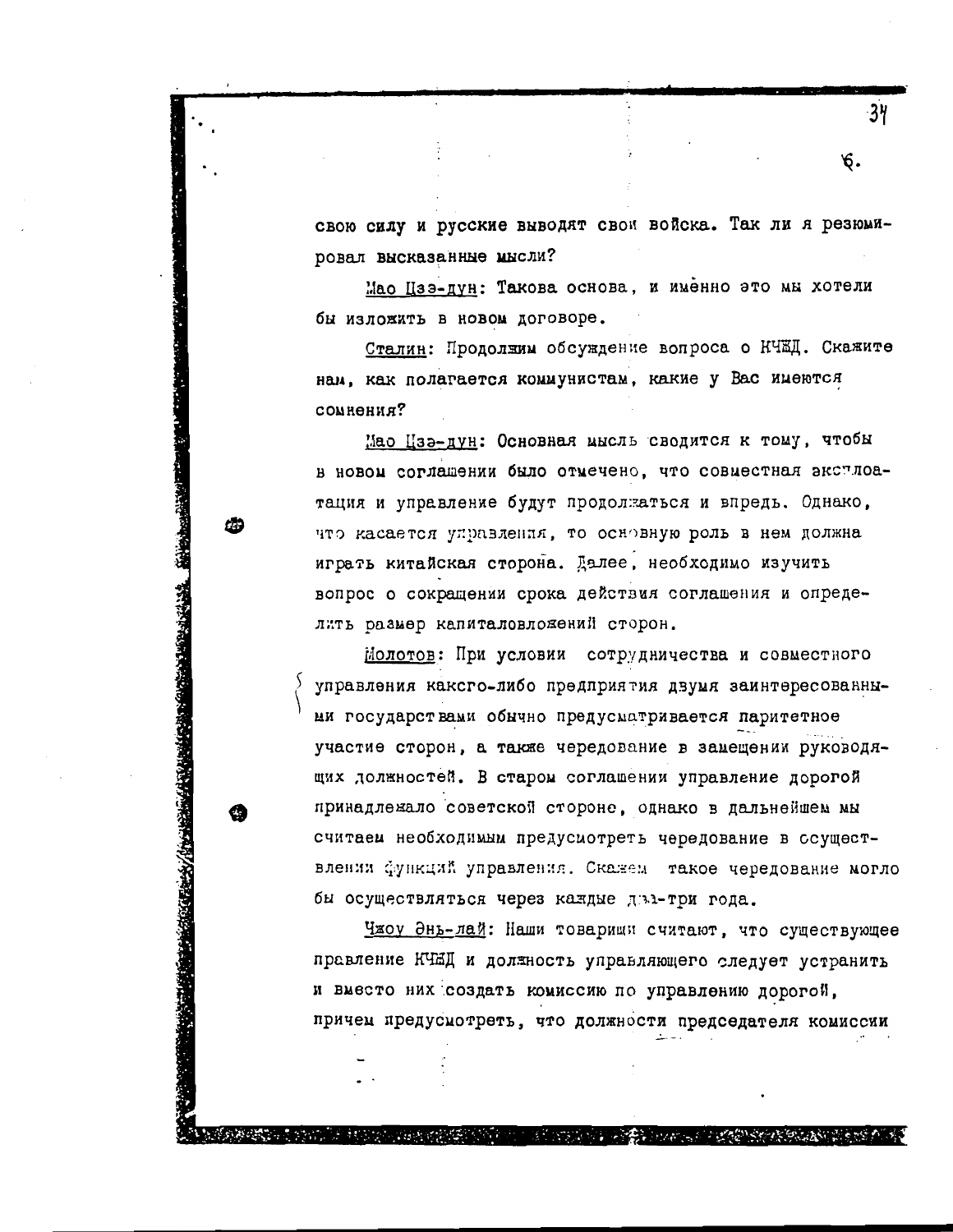свою силу и русские выводят свои войска. Так ли я резюмировал высказанные мысли?

Мао Цзэ-дун: Такова основа, и именно это мы хотели бы изложить в новом договоре.

Сталин: Продолжим обсуждение вопроса о КЧЖД. Скажите нам, как полагается коммунистам, какие у Вас имеются сомнения?

Иао Цзэ-дун: Основная мысль сводится к тому, чтобы в новом соглашении было отмечено, что совместная эксилоатация и управление будут продолжаться и впредь. Однако, что касается управления, то основную роль в нем должна играть китайская сторона. Далее, необходимо изучить вопрос о сокращении срока действия соглашения и определить размер капиталовложений сторон.

Молотов: При условии сотрудничества и совместного управления каксго-либо предприятия двумя заинтересованныни государствами обычно предусматривается паритетное участие сторон, а также чередование в замещении руководящих должностей. В старом соглашении управление дорогой принадлежало советской стороне, однако в дальнейшем мы считаем необходимым предусмотреть чередование в ссуществлении функций управления. Скажем такое чередование могло бы осуществляться через каждые два-три года.

Чжоу Энь-лай: Наши товарищи считают, что существующее правление КЧЕД и должность управляющего следует устранить и вместо них создать комиссию по управлению дорогой, причем предусмотреть, что должности председателя комиссии

(3) STATE STATE STATE STATE STATE STATE STATE STATE STATE STATE STATE STATE STATE STATE STATE STATE STATE STATE STATE STATE STATE STATE STATE STATE STATE STATE STATE STATE STATE STATE STATE STATE STATE STATE STATE STATE S

● 大学 のうち インタンド アンドランス あまま あいまま

·34

6.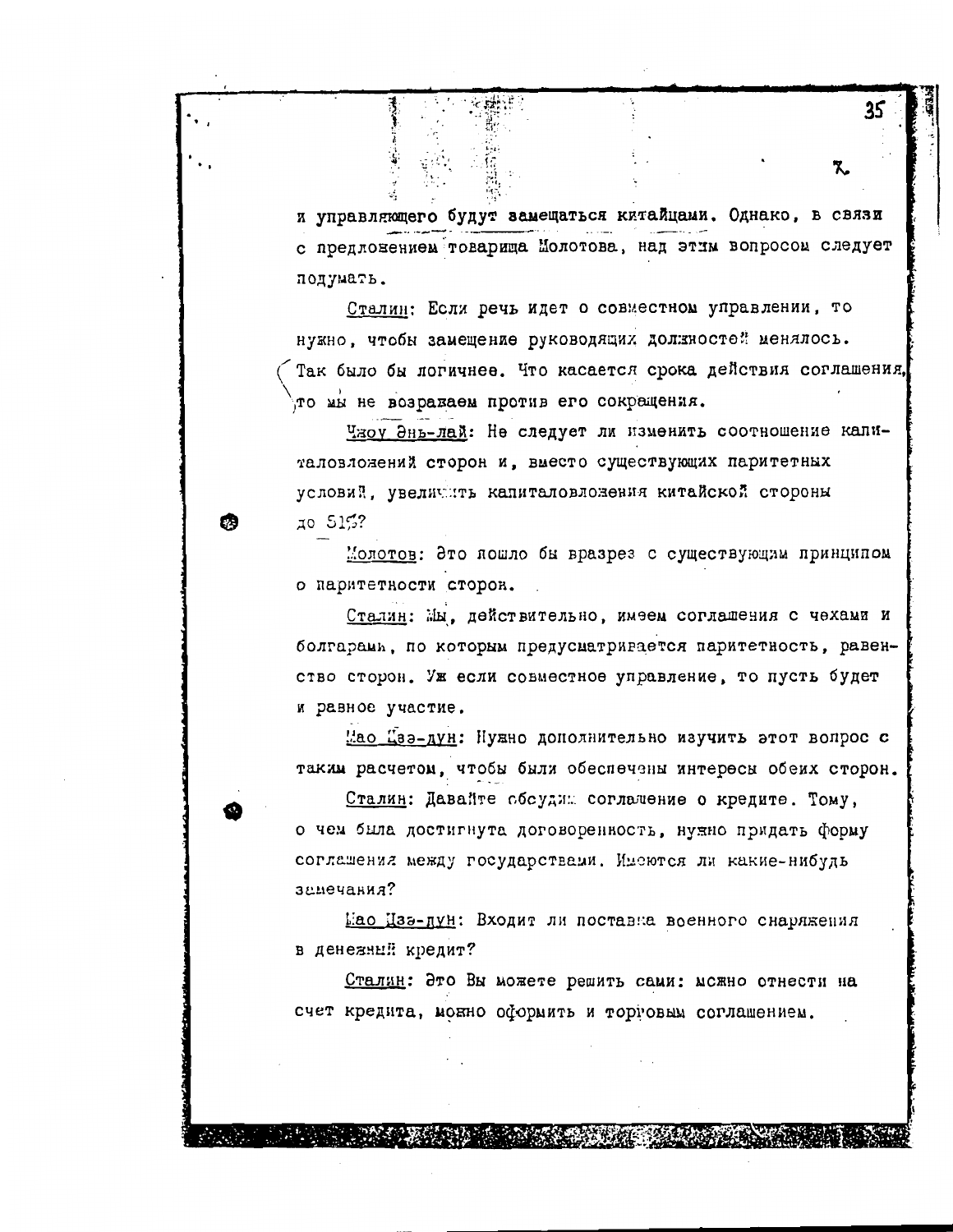и управляющего будут замещаться китайцами. Однако, в связи с предложением товарища Молотова, над этим вопросом следует подумать.

Сталин: Если речь идет о совместном управлении, то нужно, чтобы замещение руководящих должностей менялось. Так было бы логичнее. Что касается срока действия соглашения, то мы не возражаем против его сокращения.

Чжоу Энь-лай: Не следует ли изменить соотношение капиталовложений сторон и, вместо существующих паритетных условий, увеличить капиталовловения китайской стороны 10 515?

Молотов: Это пошло бы вразрез с существующим принципом о паритетности сторон.

Сталин: Мы, действительно, имеем соглашения с чехами и болгарами, по которым предусматривается паритетность, равенство сторон. Уж если совместное управление, то пусть будет и равное участие.

Иао Цзэ-дун: Нужно дополнительно изучить этот вопрос с таким расчетом, чтобы были обеспечены интересы обеих сторон.

Сталин: Давайте сбсудим соглашение о кредите. Тому, о чем была достигнута договоренность, нужно придать форму соглашения между государствами. Имеются ли какие-нибудь замечания?

Иао Цзэ-дун: Входит ли поставка военного снаряжения в денежный кредит?

Сталин: Это Вы можете решить сами: можно отнести на счет кредита, можно оформить и торговым соглашением.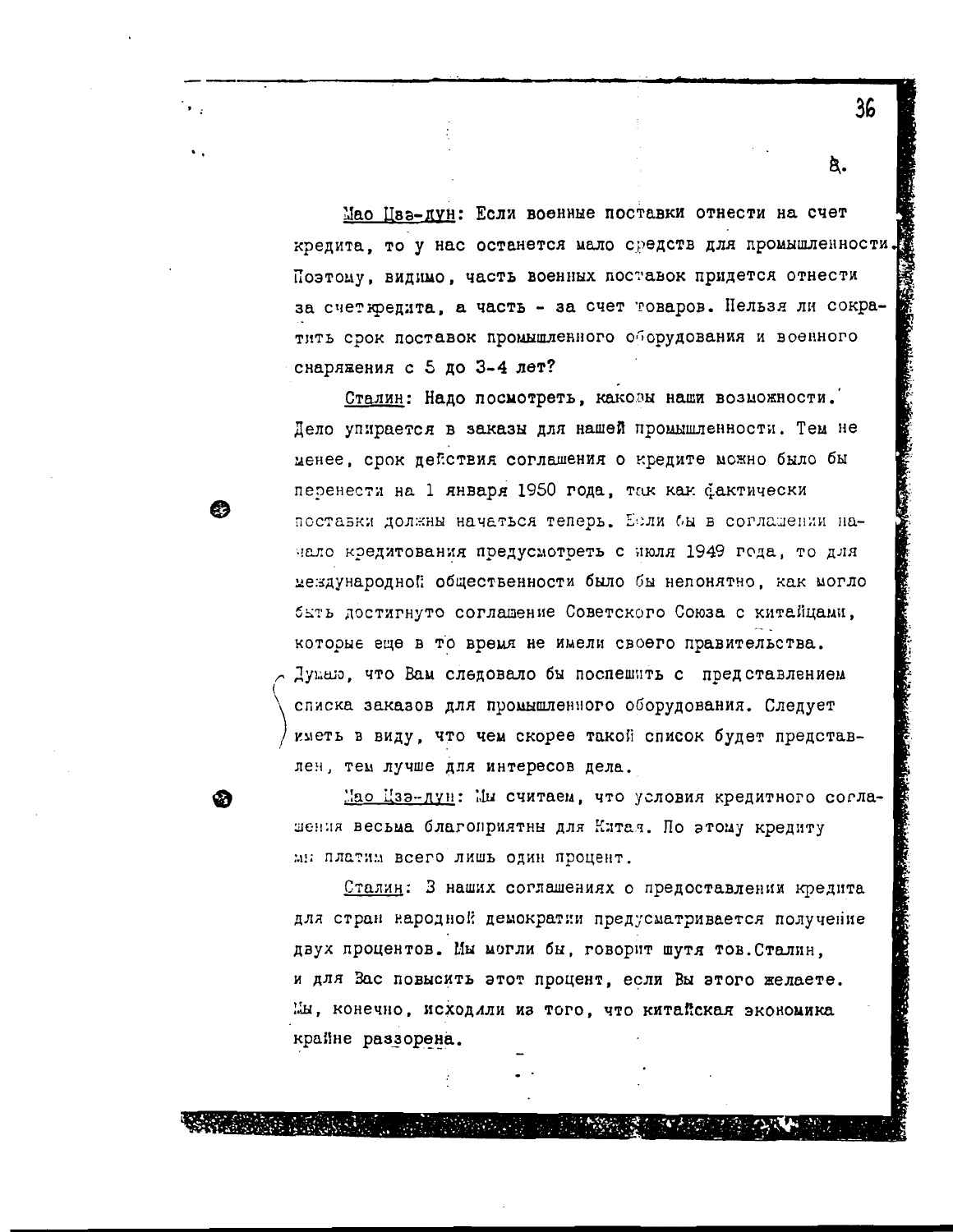Мао Цвэ-дун: Если военные поставки отнести на счет кредита, то у нас останется мало средств для промышленности Поэтому, видимо, часть военных поставок придется отнести за счетю едита, а часть - за счет товаров. Нельзя ли сократить срок поставок промышленного оборудования и военного снаряжения с 5 до 3-4 лет?

Сталин: Надо посмотреть, каковы наши возможности. Дело упирается в заказы для нашей промышленности. Тем не менее, срок действия соглашения о кредите можно было бы перенести на 1 января 1950 года, так как сактически поставки должны начаться теперь. Если бы в соглашении начало кредитования предусмотреть с июля 1949 года, то для деждународной общественности было бы непонятно, как могло быть достигнуто соглашение Советского Союза с китайцами, которые еще в то время не имели своего правительства. Думыю, что Вам следовало бы поспешить с представлением списка заказов для промышленного оборудования. Следует иметь в виду, что чем скорее такой список будет представлен, тем лучше для интересов дела.

Идо Цзэ-дун: Ши считаем, что условия кредитного согладения весьма благоприятны для Китая. По этому кредиту жи платим всего лишь один процент.

Сталин: В наших соглашениях о предоставлении кредита для стран народной демократии предусматривается получение двух процентов. Мы могли бы, говорит шутя тов. Сталин. и для Вас повысить этот процент, если Вы этого желаете. Мы, конечно, исходлли из того, что китайская экономика крайне раззорена.

ծ.

36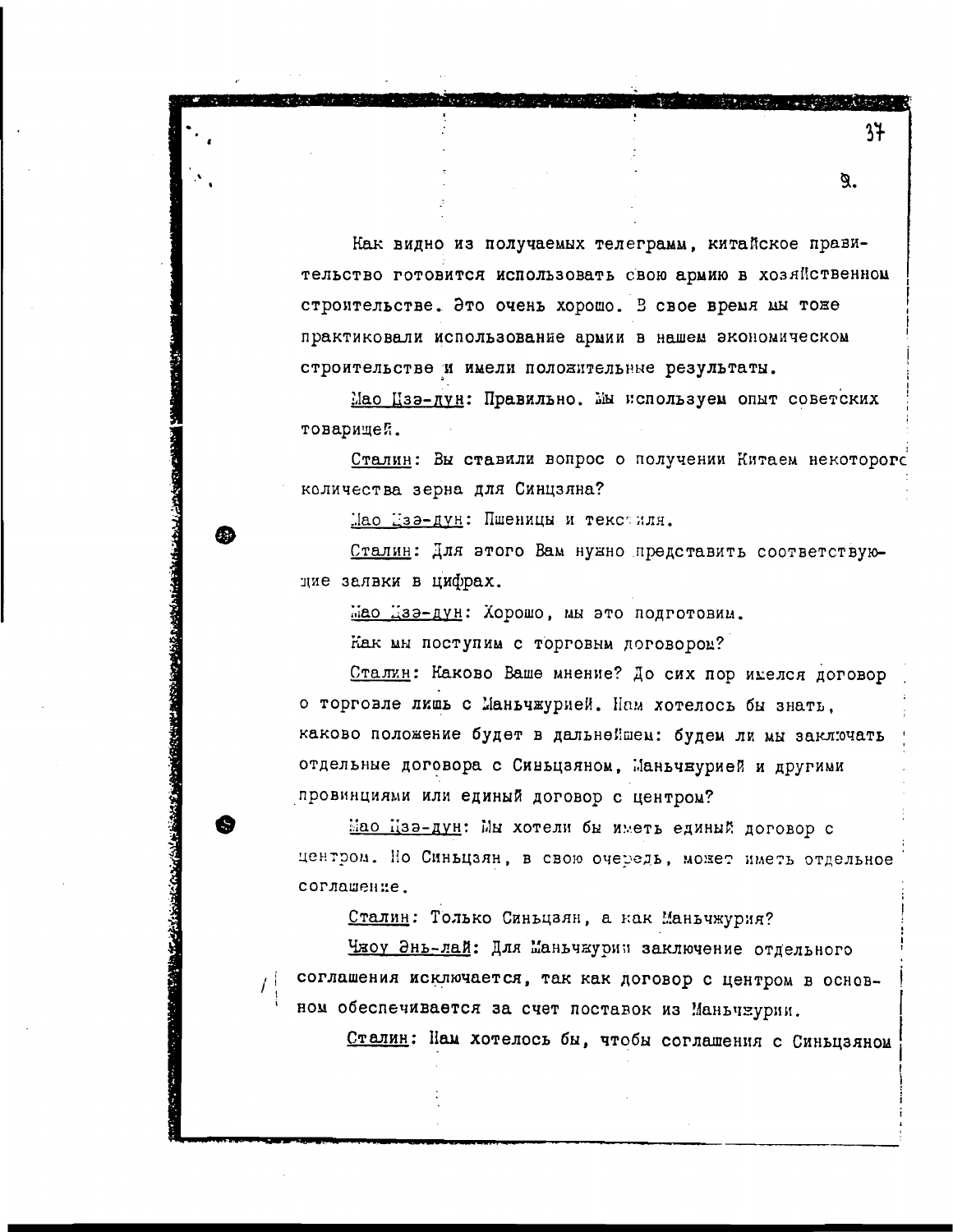Как видно из получаемых телеграмм, китайское правительство готовится использовать свою армию в хозяйственном строительстве. Это очень хорошо. В свое время мы тоже практиковали использование армии в нашем экономическом строительстве и имели положительные результаты.

Мао Цзэ-дун: Правильно. Мы используем опыт советских товарищей.

Сталин: Вы ставили вопрос о получении Китаем некоторого количества зерна для Синцзяна?

Мао Цзэ-дун: Пшеницы и текстиля.

**<u>***<u> 1999 - 1999 - 1999 - 1999 - 1999 - 1999 - 1999 - 1999 - 1999 - 1999 - 1999 - 1999 - 1999 - 1999 - 1999 - 199</u>*</u>

Сталин: Для этого Вам нужно представить соответствуюлие залвки в цифрах.

Мао Дзэ-дун: Хорошо, мы это подготовим.

Нак мы поступим с торговны договором?

Сталин: Каково Ваше мнение? До сих пор имелся договор о торговле лишь с Маньчжурией. Нам хотелось бы знать. каково положение будет в дальнейшем: будем ли мы заключать отдельные договора с Синьцаяном, Маньчнурией и другими провинциями или единый договор с центром?

Mao Haa-дун: Мы хотели бы иметь единый договор с центром. Но Синьцзян, в свою очередь, может иметь отдельное соглашение.

Сталин: Только Синьцзян, а как Маньчжурия?

Чкоу Энь-лай: Для Маньчжурии заключение отдельного соглашения исключается, так как договор с центром в основном обеспечивается за счет поставок из Маньчкурии.

Сталин: Нам хотелось бы, чтобы соглашения с Синьцзяном

37

9.